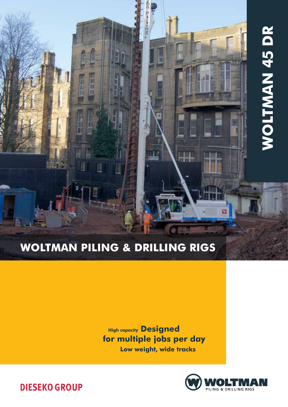# **WOLTMAN 45 DR** Woltman 45 DR

# Woltman Piling & Drilling rigs

I

IJ

**High capacity Designed** for multiple jobs per day Low weight, wide tracks

H.



**DIESEKO GROUP**